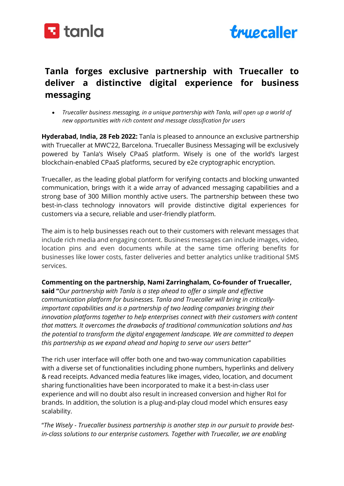



## Tanla forges exclusive partnership with Truecaller to deliver a distinctive digital experience for business messaging

 Truecaller business messaging, in a unique partnership with Tanla, will open up a world of new opportunities with rich content and message classification for users

Hyderabad, India, 28 Feb 2022: Tanla is pleased to announce an exclusive partnership with Truecaller at MWC'22, Barcelona. Truecaller Business Messaging will be exclusively powered by Tanla's Wisely CPaaS platform. Wisely is one of the world's largest blockchain-enabled CPaaS platforms, secured by e2e cryptographic encryption.

Truecaller, as the leading global platform for verifying contacts and blocking unwanted communication, brings with it a wide array of advanced messaging capabilities and a strong base of 300 Million monthly active users. The partnership between these two best-in-class technology innovators will provide distinctive digital experiences for customers via a secure, reliable and user-friendly platform.

The aim is to help businesses reach out to their customers with relevant messages that include rich media and engaging content. Business messages can include images, video, location pins and even documents while at the same time offering benefits for businesses like lower costs, faster deliveries and better analytics unlike traditional SMS services.

## Commenting on the partnership, Nami Zarringhalam, Co-founder of Truecaller,

said "Our partnership with Tanla is a step ahead to offer a simple and effective communication platform for businesses. Tanla and Truecaller will bring in criticallyimportant capabilities and is a partnership of two leading companies bringing their innovation platforms together to help enterprises connect with their customers with content that matters. It overcomes the drawbacks of traditional communication solutions and has the potential to transform the digital engagement landscape. We are committed to deepen this partnership as we expand ahead and hoping to serve our users better"

The rich user interface will offer both one and two-way communication capabilities with a diverse set of functionalities including phone numbers, hyperlinks and delivery & read receipts. Advanced media features like images, video, location, and document sharing functionalities have been incorporated to make it a best-in-class user experience and will no doubt also result in increased conversion and higher RoI for brands. In addition, the solution is a plug-and-play cloud model which ensures easy scalability.

"The Wisely - Truecaller business partnership is another step in our pursuit to provide bestin-class solutions to our enterprise customers. Together with Truecaller, we are enabling